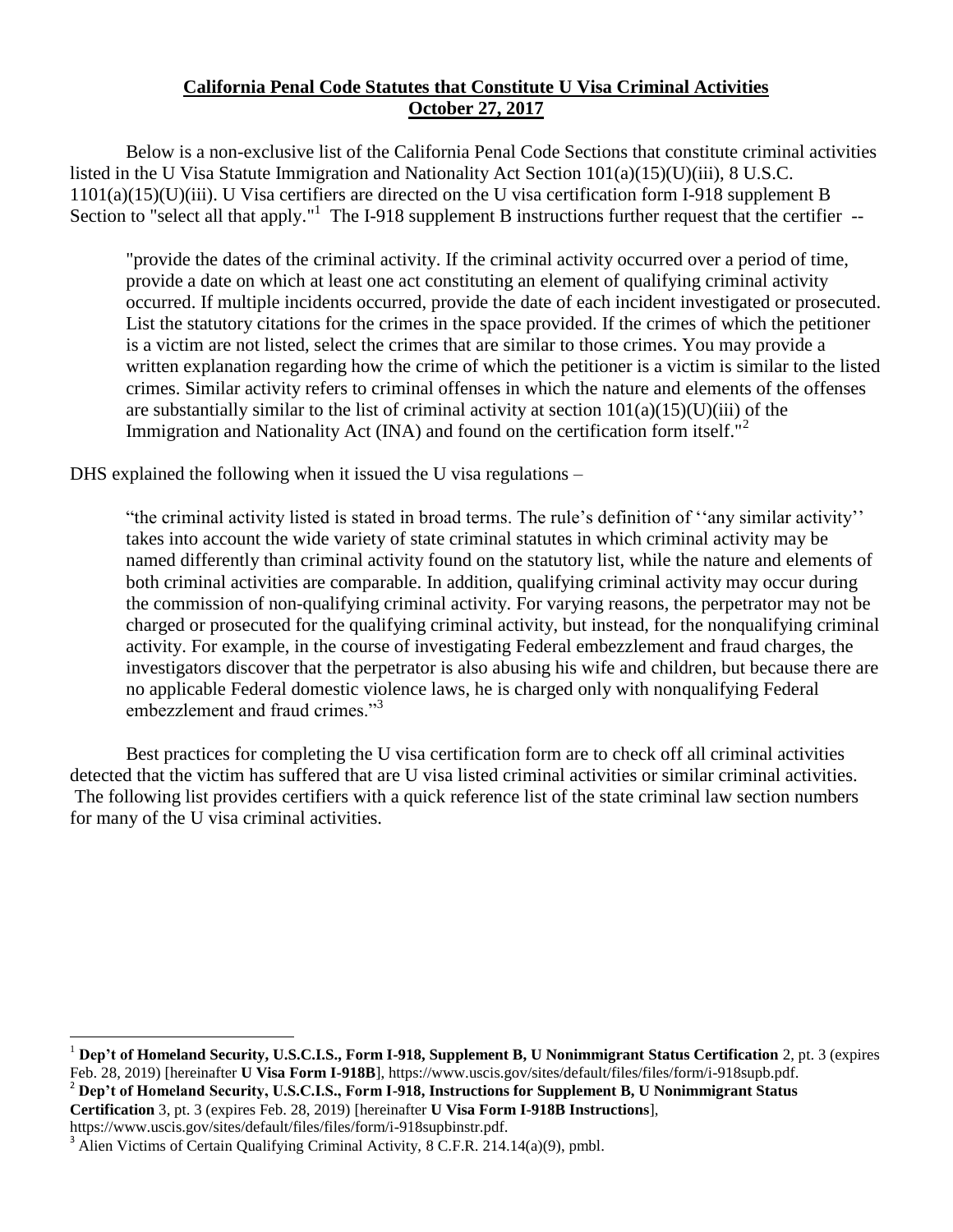## **California Penal Code Statutes that Constitute U Visa Criminal Activities October 27, 2017**

Below is a non-exclusive list of the California Penal Code Sections that constitute criminal activities listed in the U Visa Statute Immigration and Nationality Act Section 101(a)(15)(U)(iii), 8 U.S.C. 1101(a)(15)(U)(iii). U Visa certifiers are directed on the U visa certification form I-918 supplement B Section to "select all that apply."<sup>1</sup> The I-918 supplement B instructions further request that the certifier --

"provide the dates of the criminal activity. If the criminal activity occurred over a period of time, provide a date on which at least one act constituting an element of qualifying criminal activity occurred. If multiple incidents occurred, provide the date of each incident investigated or prosecuted. List the statutory citations for the crimes in the space provided. If the crimes of which the petitioner is a victim are not listed, select the crimes that are similar to those crimes. You may provide a written explanation regarding how the crime of which the petitioner is a victim is similar to the listed crimes. Similar activity refers to criminal offenses in which the nature and elements of the offenses are substantially similar to the list of criminal activity at section  $101(a)(15)(U)(iii)$  of the Immigration and Nationality Act (INA) and found on the certification form itself."<sup>2</sup>

DHS explained the following when it issued the U visa regulations –

"the criminal activity listed is stated in broad terms. The rule's definition of ''any similar activity'' takes into account the wide variety of state criminal statutes in which criminal activity may be named differently than criminal activity found on the statutory list, while the nature and elements of both criminal activities are comparable. In addition, qualifying criminal activity may occur during the commission of non-qualifying criminal activity. For varying reasons, the perpetrator may not be charged or prosecuted for the qualifying criminal activity, but instead, for the nonqualifying criminal activity. For example, in the course of investigating Federal embezzlement and fraud charges, the investigators discover that the perpetrator is also abusing his wife and children, but because there are no applicable Federal domestic violence laws, he is charged only with nonqualifying Federal embezzlement and fraud crimes."<sup>3</sup>

Best practices for completing the U visa certification form are to check off all criminal activities detected that the victim has suffered that are U visa listed criminal activities or similar criminal activities. The following list provides certifiers with a quick reference list of the state criminal law section numbers for many of the U visa criminal activities.

**Certification** 3, pt. 3 (expires Feb. 28, 2019) [hereinafter **U Visa Form I-918B Instructions**],

https://www.uscis.gov/sites/default/files/files/form/i-918supbinstr.pdf.

 $\overline{a}$ <sup>1</sup> **Dep't of Homeland Security, U.S.C.I.S., Form I-918, Supplement B, U Nonimmigrant Status Certification** 2, pt. 3 (expires Feb. 28, 2019) [hereinafter **U Visa Form I-918B**], https://www.uscis.gov/sites/default/files/files/form/i-918supb.pdf. <sup>2</sup> **Dep't of Homeland Security, U.S.C.I.S., Form I-918, Instructions for Supplement B, U Nonimmigrant Status** 

 $3$  Alien Victims of Certain Qualifying Criminal Activity, 8 C.F.R. 214.14(a)(9), pmbl.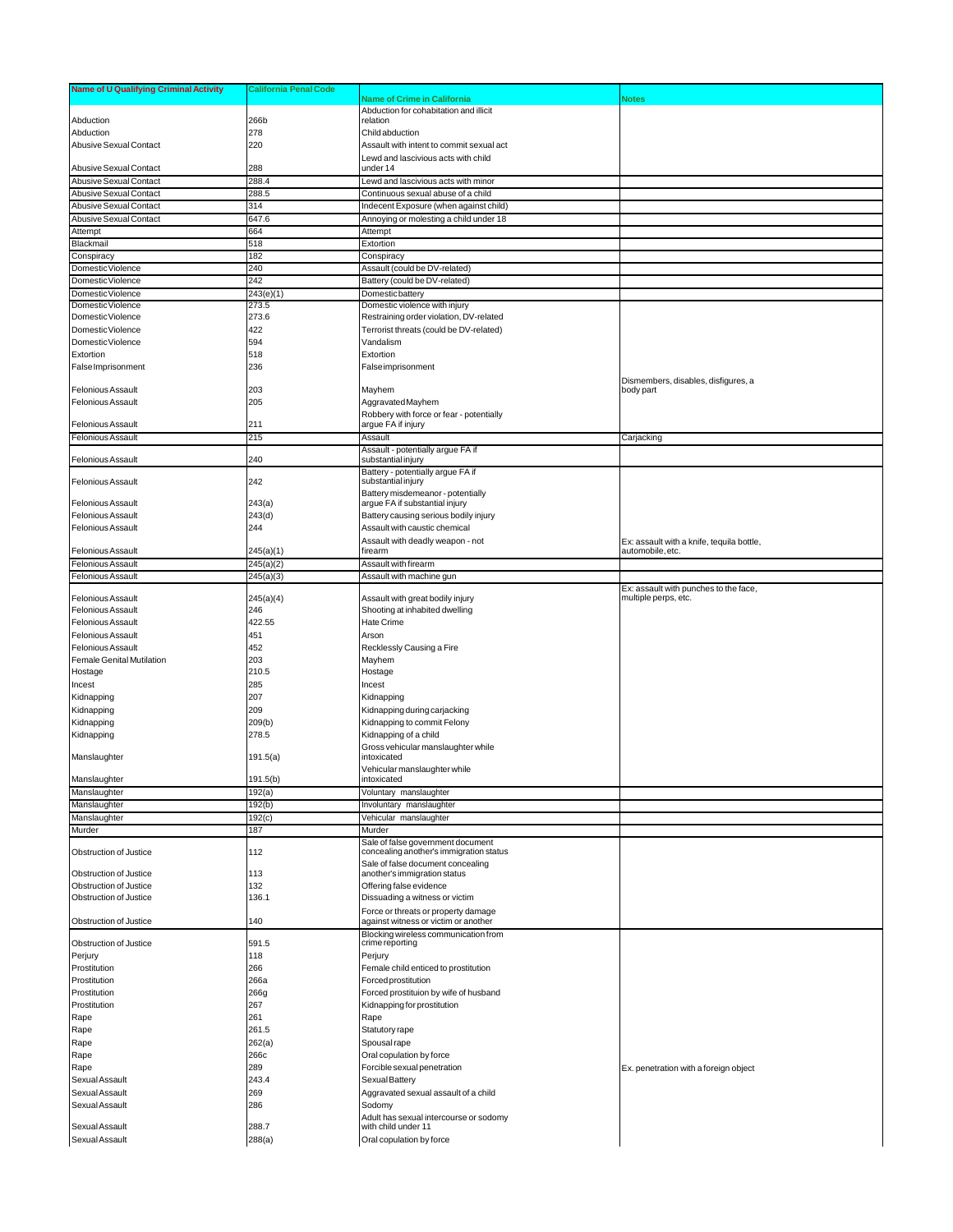| <b>Name of U Qualifying Criminal Activity</b> | <b>California Penal Code</b> |                                                                              |                                           |
|-----------------------------------------------|------------------------------|------------------------------------------------------------------------------|-------------------------------------------|
|                                               |                              | Name of Crime in California                                                  | <b>Notes</b>                              |
|                                               |                              | Abduction for cohabitation and illicit                                       |                                           |
| Abduction                                     | 266b                         | relation                                                                     |                                           |
| Abduction                                     | 278                          | Child abduction                                                              |                                           |
| Abusive Sexual Contact                        | 220                          | Assault with intent to commit sexual act                                     |                                           |
|                                               |                              | Lewd and lascivious acts with child                                          |                                           |
| Abusive Sexual Contact                        | 288                          | under 14                                                                     |                                           |
| <b>Abusive Sexual Contact</b>                 | 288.4                        | Lewd and lascivious acts with minor                                          |                                           |
| Abusive Sexual Contact                        | 288.5                        | Continuous sexual abuse of a child                                           |                                           |
| Abusive Sexual Contact                        | 314                          | Indecent Exposure (when against child)                                       |                                           |
| Abusive Sexual Contact                        | 647.6                        | Annoying or molesting a child under 18                                       |                                           |
| Attempt                                       | 664                          | Attempt                                                                      |                                           |
| Blackmail                                     | 518                          | Extortion                                                                    |                                           |
| Conspiracy                                    | 182                          | Conspiracy                                                                   |                                           |
| Domestic Violence                             | 240                          | Assault (could be DV-related)                                                |                                           |
| Domestic Violence                             | 242                          | Battery (could be DV-related)                                                |                                           |
| Domestic Violence                             | 243(e)(1)                    | Domestic battery                                                             |                                           |
| Domestic Violence                             | 273.5                        | Domestic violence with injury                                                |                                           |
| Domestic Violence                             | 273.6                        | Restraining order violation, DV-related                                      |                                           |
| Domestic Violence                             | 422                          | Terrorist threats (could be DV-related)                                      |                                           |
| Domestic Violence                             | 594                          | Vandalism                                                                    |                                           |
| Extortion                                     | 518                          | Extortion                                                                    |                                           |
| False Imprisonment                            | 236                          | <b>False imprisonment</b>                                                    |                                           |
|                                               |                              |                                                                              | Dismembers, disables, disfigures, a       |
| <b>Felonious Assault</b>                      | 203                          | Mayhem                                                                       | body part                                 |
| Felonious Assault                             | 205                          | Aggravated Mayhem                                                            |                                           |
|                                               |                              | Robbery with force or fear - potentially                                     |                                           |
| Felonious Assault                             | 211                          | argue FA if injury                                                           |                                           |
| <b>Felonious Assault</b>                      | 215                          | Assault                                                                      | Carjacking                                |
|                                               |                              | Assault - potentially argue FA if                                            |                                           |
| <b>Felonious Assault</b>                      | 240                          | substantial injury                                                           |                                           |
| <b>Felonious Assault</b>                      | 242                          | Battery - potentially argue FA if<br>substantial injury                      |                                           |
|                                               |                              | Battery misdemeanor - potentially                                            |                                           |
| <b>Felonious Assault</b>                      | 243(a)                       | argue FA if substantial injury                                               |                                           |
| Felonious Assault                             | 243(d)                       | Battery causing serious bodily injury                                        |                                           |
| <b>Felonious Assault</b>                      | 244                          | Assault with caustic chemical                                                |                                           |
|                                               |                              | Assault with deadly weapon - not                                             | Ex: assault with a knife, tequila bottle, |
| <b>Felonious Assault</b>                      | 245(a)(1)                    | firearm                                                                      | automobile, etc.                          |
| Felonious Assault                             | 245(a)(2)                    | Assault with firearm                                                         |                                           |
| <b>Felonious Assault</b>                      | 245(a)(3)                    | Assault with machine gun                                                     |                                           |
|                                               |                              |                                                                              | Ex: assault with punches to the face,     |
| <b>Felonious Assault</b>                      | 245(a)(4)                    | Assault with great bodily injury                                             | multiple perps, etc.                      |
| Felonious Assault                             | 246                          | Shooting at inhabited dwelling                                               |                                           |
| Felonious Assault                             | 422.55                       | Hate Crime                                                                   |                                           |
| Felonious Assault                             | 451                          | Arson                                                                        |                                           |
| <b>Felonious Assault</b>                      | 452                          | Recklessly Causing a Fire                                                    |                                           |
| Female Genital Mutilation                     | 203                          | Mayhem                                                                       |                                           |
| Hostage                                       | 210.5                        | Hostage                                                                      |                                           |
| Incest                                        | 285                          | Incest                                                                       |                                           |
| Kidnapping                                    | 207                          | Kidnapping                                                                   |                                           |
| Kidnapping                                    | 209                          | Kidnapping during carjacking                                                 |                                           |
| Kidnapping                                    | 209(b)                       | Kidnapping to commit Felony                                                  |                                           |
| Kidnapping                                    | 278.5                        | Kidnapping of a child                                                        |                                           |
|                                               |                              | Gross vehicular manslaughter while                                           |                                           |
| Manslaughter                                  | 191.5(a)                     | intoxicated                                                                  |                                           |
|                                               |                              | Vehicular manslaughter while                                                 |                                           |
| Manslaughter                                  | 191.5(b)                     | intoxicated                                                                  |                                           |
| Manslaughter                                  | 192(a)                       | Voluntary manslaughter                                                       |                                           |
| Manslaughter                                  | 192(b)                       | Involuntary manslaughter                                                     |                                           |
| Manslaughter                                  | 192(c)                       | Vehicular manslaughter                                                       |                                           |
| Murder                                        | 187                          | Murder                                                                       |                                           |
| Obstruction of Justice                        | 112                          | Sale of false government document<br>concealing another's immigration status |                                           |
|                                               |                              | Sale of false document concealing                                            |                                           |
| Obstruction of Justice                        | 113                          | another's immigration status                                                 |                                           |
| Obstruction of Justice                        | 132                          | Offering false evidence                                                      |                                           |
| Obstruction of Justice                        | 136.1                        | Dissuading a witness or victim                                               |                                           |
|                                               |                              | Force or threats or property damage                                          |                                           |
| Obstruction of Justice                        | 140                          | against witness or victim or another                                         |                                           |
|                                               |                              | Blocking wireless communication from                                         |                                           |
| Obstruction of Justice                        | 591.5                        | crime reporting                                                              |                                           |
| Perjury                                       | 118                          | Perjury                                                                      |                                           |
| Prostitution                                  | 266                          | Female child enticed to prostitution                                         |                                           |
| Prostitution                                  | 266a                         | Forced prostitution                                                          |                                           |
| Prostitution                                  | 266g                         | Forced prostituion by wife of husband                                        |                                           |
| Prostitution                                  | 267                          | Kidnapping for prostitution                                                  |                                           |
| Rape                                          | 261                          | Rape                                                                         |                                           |
| Rape                                          | 261.5                        | Statutory rape                                                               |                                           |
| Rape                                          | 262(a)                       | Spousal rape                                                                 |                                           |
| Rape                                          | 266c                         | Oral copulation by force                                                     |                                           |
| Rape                                          | 289                          | Forcible sexual penetration                                                  | Ex. penetration with a foreign object     |
| Sexual Assault                                | 243.4                        | Sexual Battery                                                               |                                           |
| Sexual Assault                                | 269                          | Aggravated sexual assault of a child                                         |                                           |
| Sexual Assault                                | 286                          | Sodomy                                                                       |                                           |
|                                               |                              | Adult has sexual intercourse or sodomy                                       |                                           |
| Sexual Assault                                | 288.7                        | with child under 11                                                          |                                           |
| Sexual Assault                                | 288(a)                       | Oral copulation by force                                                     |                                           |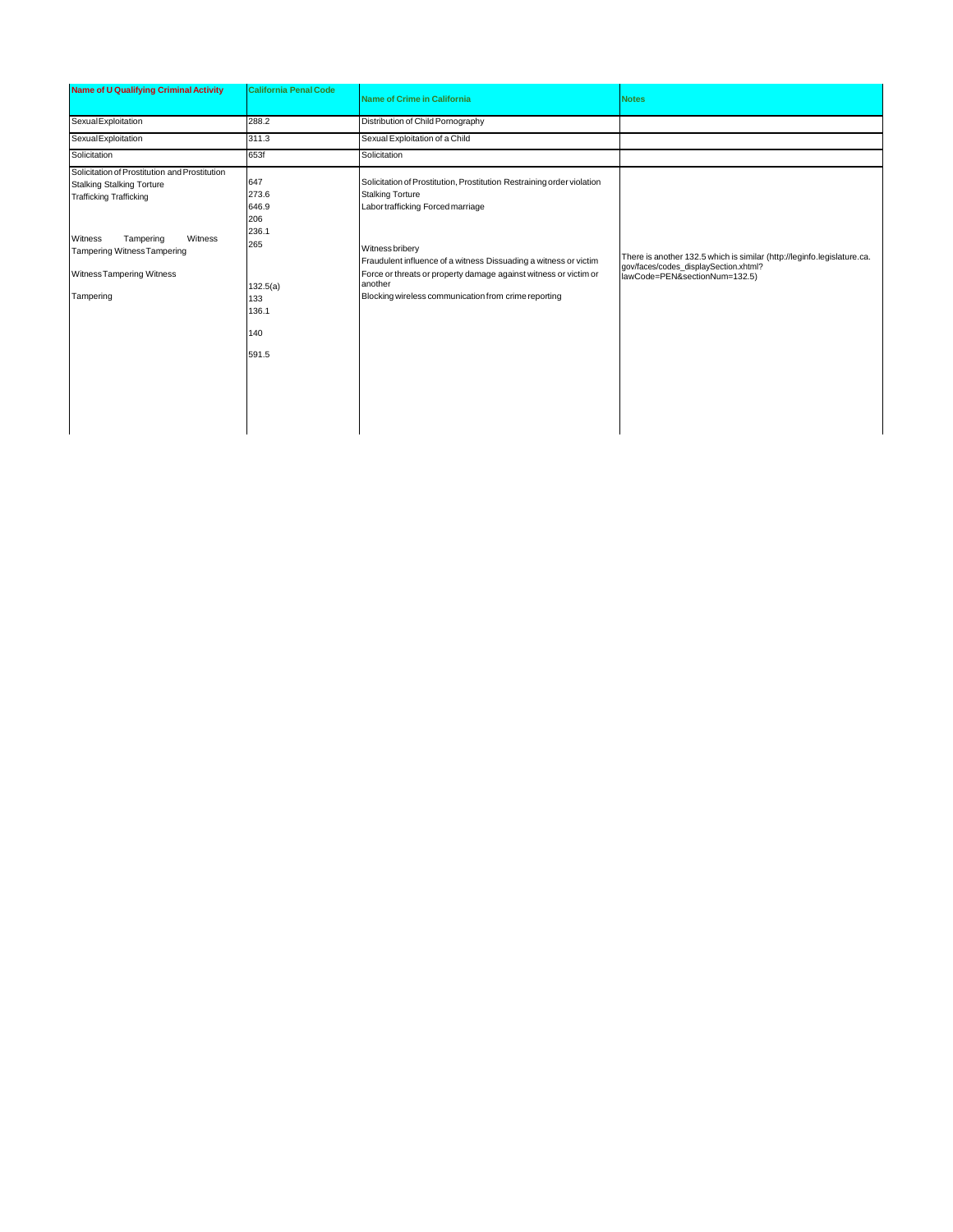| Name of U Qualifying Criminal Activity                                                                                                                                                                                          | <b>California Penal Code</b>                                                             | <b>Name of Crime in California</b>                                                                                                                                                                                                                                                                                                                                   | <b>Notes</b>                                                                                                                                      |
|---------------------------------------------------------------------------------------------------------------------------------------------------------------------------------------------------------------------------------|------------------------------------------------------------------------------------------|----------------------------------------------------------------------------------------------------------------------------------------------------------------------------------------------------------------------------------------------------------------------------------------------------------------------------------------------------------------------|---------------------------------------------------------------------------------------------------------------------------------------------------|
| SexualExploitation                                                                                                                                                                                                              | 288.2                                                                                    | Distribution of Child Pornography                                                                                                                                                                                                                                                                                                                                    |                                                                                                                                                   |
| <b>Sexual Exploitation</b>                                                                                                                                                                                                      | 311.3                                                                                    | Sexual Exploitation of a Child                                                                                                                                                                                                                                                                                                                                       |                                                                                                                                                   |
| Solicitation                                                                                                                                                                                                                    | 653f                                                                                     | Solicitation                                                                                                                                                                                                                                                                                                                                                         |                                                                                                                                                   |
| Solicitation of Prostitution and Prostitution<br><b>Stalking Stalking Torture</b><br><b>Trafficking Trafficking</b><br>Witness<br>Witness<br>Tampering<br>Tampering Witness Tampering<br>Witness Tampering Witness<br>Tampering | 647<br>273.6<br>646.9<br>206<br>236.1<br>265<br>132.5(a)<br>133<br>136.1<br>140<br>591.5 | Solicitation of Prostitution, Prostitution Restraining order violation<br><b>Stalking Torture</b><br>Labor trafficking Forced marriage<br>Witness bribery<br>Fraudulent influence of a witness Dissuading a witness or victim<br>Force or threats or property damage against witness or victim or<br>another<br>Blocking wireless communication from crime reporting | There is another 132.5 which is similar (http://leginfo.legislature.ca.<br>gov/faces/codes_displaySection.xhtml?<br>lawCode=PEN&sectionNum=132.5) |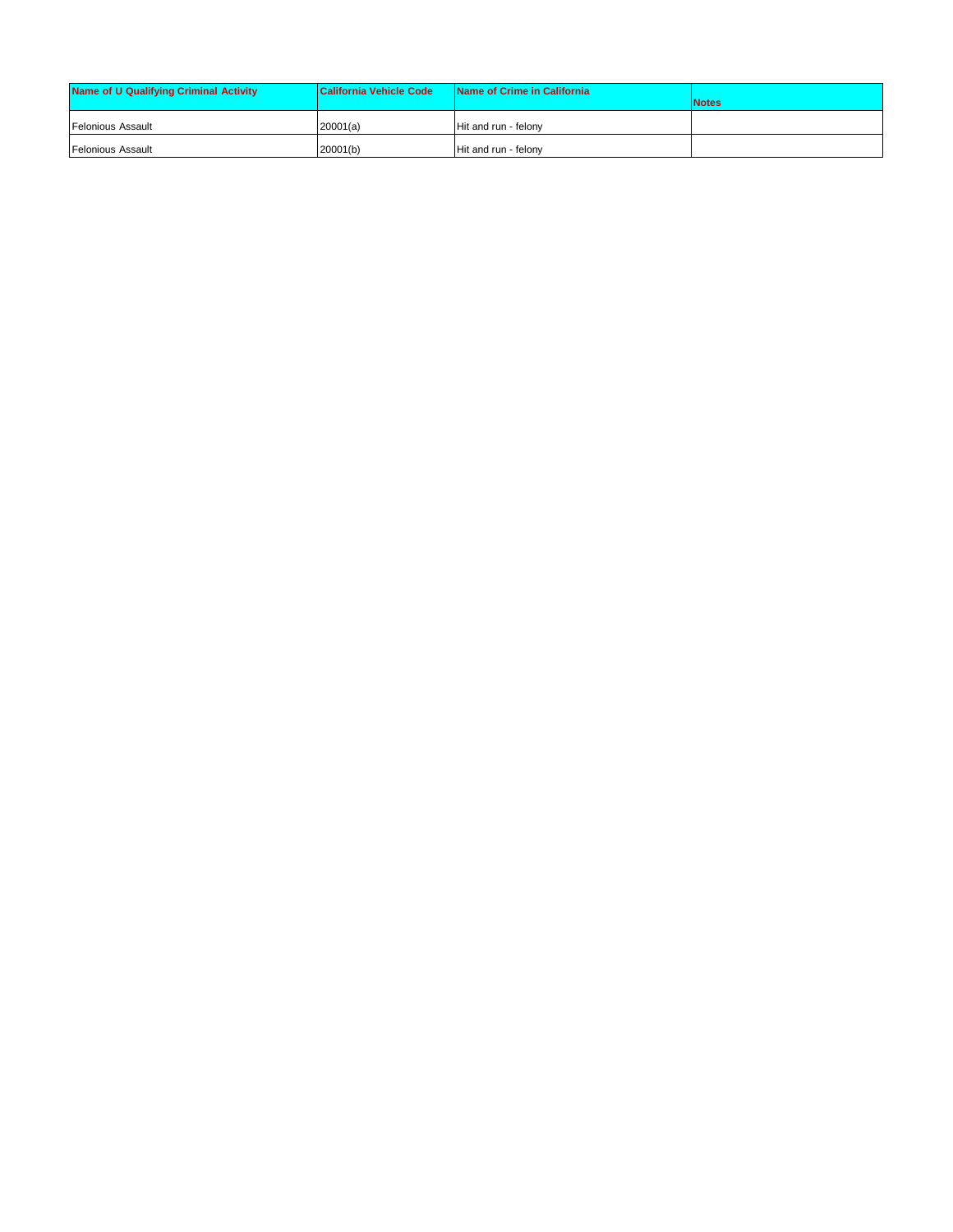| Name of U Qualifying Criminal Activity | <b>California Vehicle Code</b> | Name of Crime in California | <b>Notes</b> |
|----------------------------------------|--------------------------------|-----------------------------|--------------|
| <b>Felonious Assault</b>               | 20001(a)                       | Hit and run - felony        |              |
| <b>Felonious Assault</b>               | 20001(b)                       | Hit and run - felony        |              |